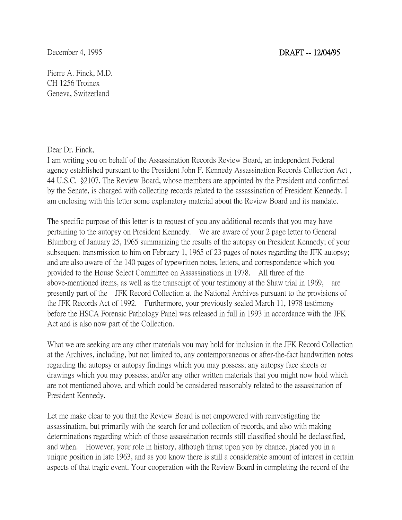Pierre A. Finck, M.D. CH 1256 Troinex Geneva, Switzerland

## Dear Dr. Finck,

I am writing you on behalf of the Assassination Records Review Board, an independent Federal agency established pursuant to the President John F. Kennedy Assassination Records Collection Act , 44 U.S.C. §2107. The Review Board, whose members are appointed by the President and confirmed by the Senate, is charged with collecting records related to the assassination of President Kennedy. I am enclosing with this letter some explanatory material about the Review Board and its mandate.

The specific purpose of this letter is to request of you any additional records that you may have pertaining to the autopsy on President Kennedy. We are aware of your 2 page letter to General Blumberg of January 25, 1965 summarizing the results of the autopsy on President Kennedy; of your subsequent transmission to him on February 1, 1965 of 23 pages of notes regarding the JFK autopsy; and are also aware of the 140 pages of typewritten notes, letters, and correspondence which you provided to the House Select Committee on Assassinations in 1978. All three of the above-mentioned items, as well as the transcript of your testimony at the Shaw trial in 1969, are presently part of the JFK Record Collection at the National Archives pursuant to the provisions of the JFK Records Act of 1992. Furthermore, your previously sealed March 11, 1978 testimony before the HSCA Forensic Pathology Panel was released in full in 1993 in accordance with the JFK Act and is also now part of the Collection.

What we are seeking are any other materials you may hold for inclusion in the JFK Record Collection at the Archives, including, but not limited to, any contemporaneous or after-the-fact handwritten notes regarding the autopsy or autopsy findings which you may possess; any autopsy face sheets or drawings which you may possess; and/or any other written materials that you might now hold which are not mentioned above, and which could be considered reasonably related to the assassination of President Kennedy.

Let me make clear to you that the Review Board is not empowered with reinvestigating the assassination, but primarily with the search for and collection of records, and also with making determinations regarding which of those assassination records still classified should be declassified, and when. However, your role in history, although thrust upon you by chance, placed you in a unique position in late 1963, and as you know there is still a considerable amount of interest in certain aspects of that tragic event. Your cooperation with the Review Board in completing the record of the